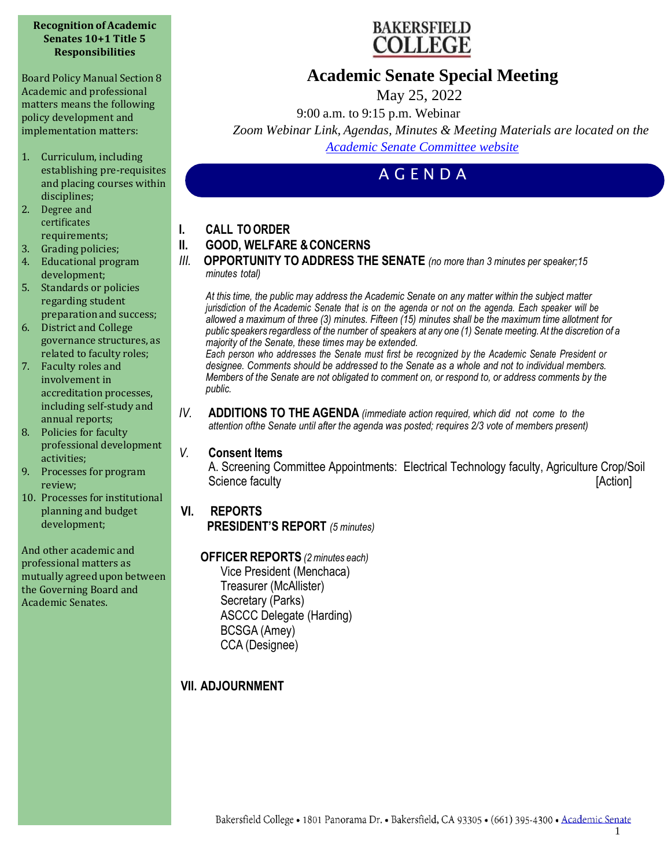#### **Recognition of Academic Senates 10+1 Title 5 Responsibilities**

Board Policy Manual Section 8 Academic and professional matters means the following policy development and implementation matters:

- 1. Curriculum, including establishing pre-requisites and placing courses within disciplines;
- 2. Degree and certificates requirements;
- 3. Grading policies;
- 4. Educational program development;
- 5. Standards or policies regarding student preparation and success;
- 6. District and College governance structures, as related to faculty roles;
- 7. Faculty roles and involvement in accreditation processes, including self-study and annual reports;
- 8. Policies for faculty professional development activities;
- 9. Processes for program review;
- 10. Processes for institutional planning and budget development;

And other academic and professional matters as mutually agreed upon between the Governing Board and Academic Senates.



## **Academic Senate Special Meeting**

May 25, 2022

9:00 a.m. to 9:15 p.m. Webinar

*Zoom Webinar Link, Agendas, Minutes & Meeting Materials are located on the Academic Senate Committee website*

# A G E N D A

- **I. CALL TOORDER**
- **II. GOOD, WELFARE &CONCERNS**
- *III.* **OPPORTUNITY TO ADDRESS THE SENATE** *(no more than 3 minutes per speaker;15 minutes total)*

*At this time, the public may address the Academic Senate on any matter within the subject matter* jurisdiction of the Academic Senate that is on the agenda or not on the agenda. Each speaker will be *allowed a maximum of three (3) minutes. Fifteen (15) minutes shall be the maximum time allotment for* public speakers regardless of the number of speakers at any one (1) Senate meeting. At the discretion of a *majority of the Senate, these times may be extended.*

*Each person who addresses the Senate must first be recognized by the Academic Senate President or designee. Comments should be addressed to the Senate as a whole and not to individual members. Members of the Senate are not obligated to comment on, or respond to, or address comments by the public.*

*IV.* **ADDITIONS TO THE AGENDA** *(immediate action required, which did not come to the attention ofthe Senate until after the agenda was posted; requires 2/3 vote of members present)*

## *V.* **Consent Items**

A. Screening Committee Appointments: Electrical Technology faculty, Agriculture Crop/Soil Science faculty **[Action] [Action]** 

## **VI. REPORTS**

**PRESIDENT'S REPORT** *(5 minutes)*

### **OFFICER REPORTS** *(2minutes each)*

Vice President (Menchaca) Treasurer (McAllister) Secretary (Parks) ASCCC Delegate (Harding) BCSGA (Amey) CCA (Designee)

## **VII. ADJOURNMENT**